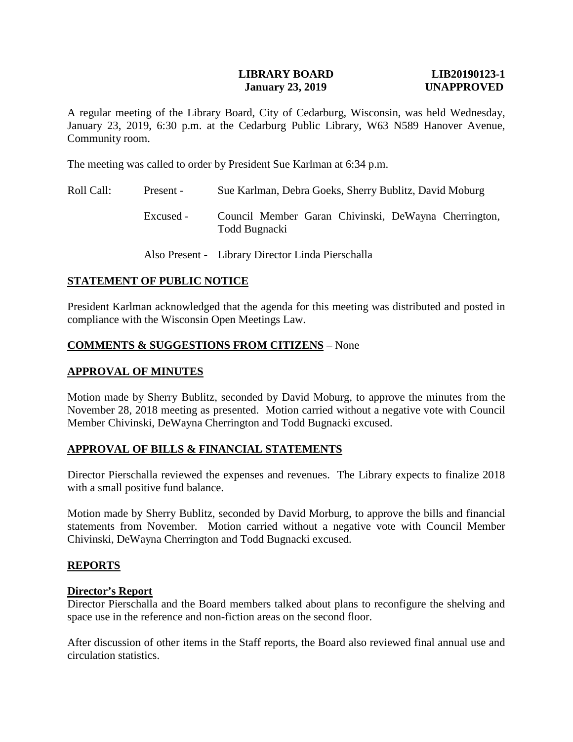## **LIBRARY BOARD LIB20190123-1 January 23, 2019 UNAPPROVED**

A regular meeting of the Library Board, City of Cedarburg, Wisconsin, was held Wednesday, January 23, 2019, 6:30 p.m. at the Cedarburg Public Library, W63 N589 Hanover Avenue, Community room.

The meeting was called to order by President Sue Karlman at 6:34 p.m.

- Roll Call: Present Excused - Sue Karlman, Debra Goeks, Sherry Bublitz, David Moburg Council Member Garan Chivinski, DeWayna Cherrington, Todd Bugnacki
	- Also Present Library Director Linda Pierschalla

# **STATEMENT OF PUBLIC NOTICE**

President Karlman acknowledged that the agenda for this meeting was distributed and posted in compliance with the Wisconsin Open Meetings Law.

# **COMMENTS & SUGGESTIONS FROM CITIZENS** – None

# **APPROVAL OF MINUTES**

Motion made by Sherry Bublitz, seconded by David Moburg, to approve the minutes from the November 28, 2018 meeting as presented. Motion carried without a negative vote with Council Member Chivinski, DeWayna Cherrington and Todd Bugnacki excused.

# **APPROVAL OF BILLS & FINANCIAL STATEMENTS**

Director Pierschalla reviewed the expenses and revenues. The Library expects to finalize 2018 with a small positive fund balance.

Motion made by Sherry Bublitz, seconded by David Morburg, to approve the bills and financial statements from November. Motion carried without a negative vote with Council Member Chivinski, DeWayna Cherrington and Todd Bugnacki excused.

# **REPORTS**

## **Director's Report**

Director Pierschalla and the Board members talked about plans to reconfigure the shelving and space use in the reference and non-fiction areas on the second floor.

After discussion of other items in the Staff reports, the Board also reviewed final annual use and circulation statistics.